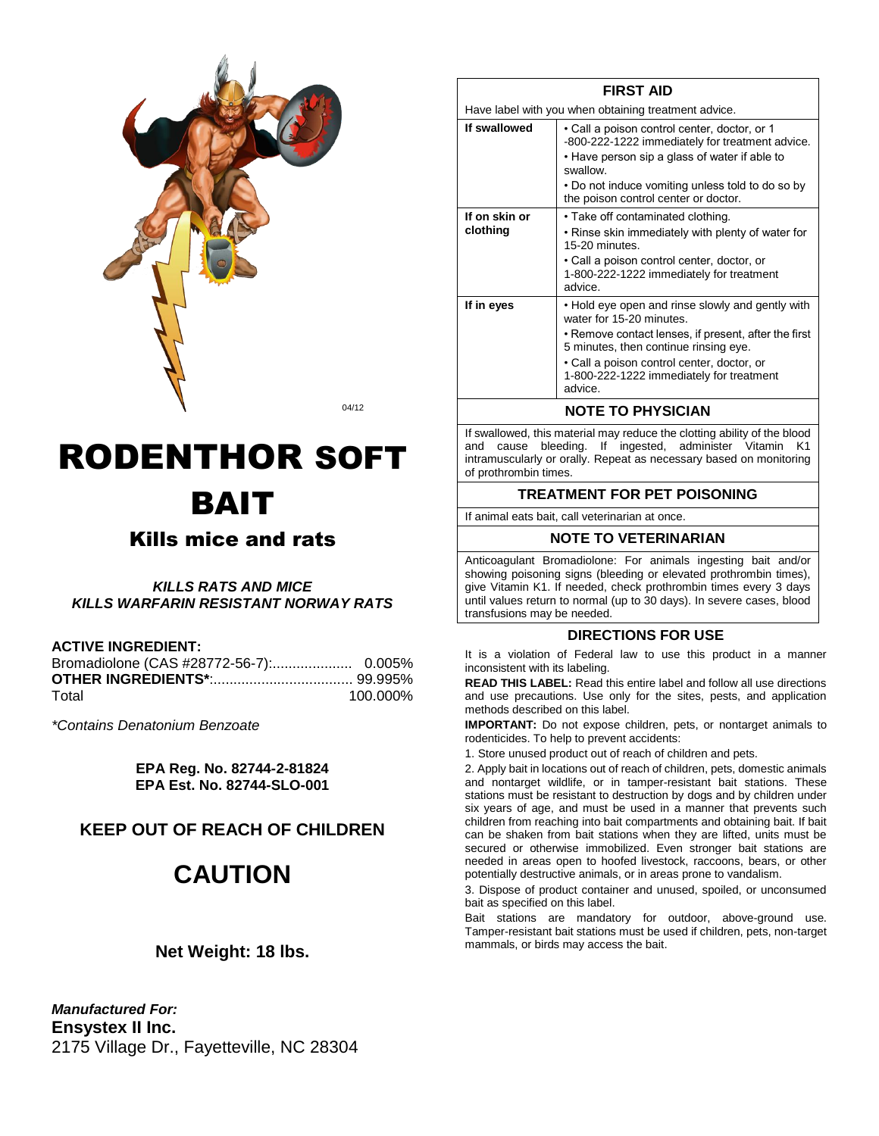

04/12

# RODENTHOR SOFT BAIT

### Kills mice and rats

*KILLS RATS AND MICE KILLS WARFARIN RESISTANT NORWAY RATS*

#### **ACTIVE INGREDIENT:**

| Total | 100.000% |
|-------|----------|

*\*Contains Denatonium Benzoate*

**EPA Reg. No. 82744-2-81824 EPA Est. No. 82744-SLO-001**

#### **KEEP OUT OF REACH OF CHILDREN**

## **CAUTION**

#### **Net Weight: 18 lbs.**

*Manufactured For:* **Ensystex II Inc.** 2175 Village Dr., Fayetteville, NC 28304

|                           | Have label with you when obtaining treatment advice.                                                                                                                                                                                                                               |
|---------------------------|------------------------------------------------------------------------------------------------------------------------------------------------------------------------------------------------------------------------------------------------------------------------------------|
| If swallowed              | • Call a poison control center, doctor, or 1<br>-800-222-1222 immediately for treatment advice.<br>• Have person sip a glass of water if able to<br>swallow.                                                                                                                       |
|                           | • Do not induce vomiting unless told to do so by<br>the poison control center or doctor.                                                                                                                                                                                           |
| If on skin or<br>clothing | • Take off contaminated clothing.<br>• Rinse skin immediately with plenty of water for<br>15-20 minutes.<br>• Call a poison control center, doctor, or<br>1-800-222-1222 immediately for treatment<br>advice.                                                                      |
| If in eyes                | • Hold eye open and rinse slowly and gently with<br>water for 15-20 minutes.<br>• Remove contact lenses, if present, after the first<br>5 minutes, then continue rinsing eye.<br>• Call a poison control center, doctor, or<br>1-800-222-1222 immediately for treatment<br>advice. |

**FIRST AID**

#### **NOTE TO PHYSICIAN**

If swallowed, this material may reduce the clotting ability of the blood and cause bleeding. If ingested, administer Vitamin K1 intramuscularly or orally. Repeat as necessary based on monitoring of prothrombin times.

#### **TREATMENT FOR PET POISONING**

If animal eats bait, call veterinarian at once.

#### **NOTE TO VETERINARIAN**

Anticoagulant Bromadiolone: For animals ingesting bait and/or showing poisoning signs (bleeding or elevated prothrombin times), give Vitamin K1. If needed, check prothrombin times every 3 days until values return to normal (up to 30 days). In severe cases, blood transfusions may be needed.

#### **DIRECTIONS FOR USE**

It is a violation of Federal law to use this product in a manner inconsistent with its labeling.

**READ THIS LABEL:** Read this entire label and follow all use directions and use precautions. Use only for the sites, pests, and application methods described on this label.

**IMPORTANT:** Do not expose children, pets, or nontarget animals to rodenticides. To help to prevent accidents:

1. Store unused product out of reach of children and pets.

2. Apply bait in locations out of reach of children, pets, domestic animals and nontarget wildlife, or in tamper-resistant bait stations. These stations must be resistant to destruction by dogs and by children under six years of age, and must be used in a manner that prevents such children from reaching into bait compartments and obtaining bait. If bait can be shaken from bait stations when they are lifted, units must be secured or otherwise immobilized. Even stronger bait stations are needed in areas open to hoofed livestock, raccoons, bears, or other potentially destructive animals, or in areas prone to vandalism.

3. Dispose of product container and unused, spoiled, or unconsumed bait as specified on this label.

Bait stations are mandatory for outdoor, above-ground use. Tamper-resistant bait stations must be used if children, pets, non-target mammals, or birds may access the bait.